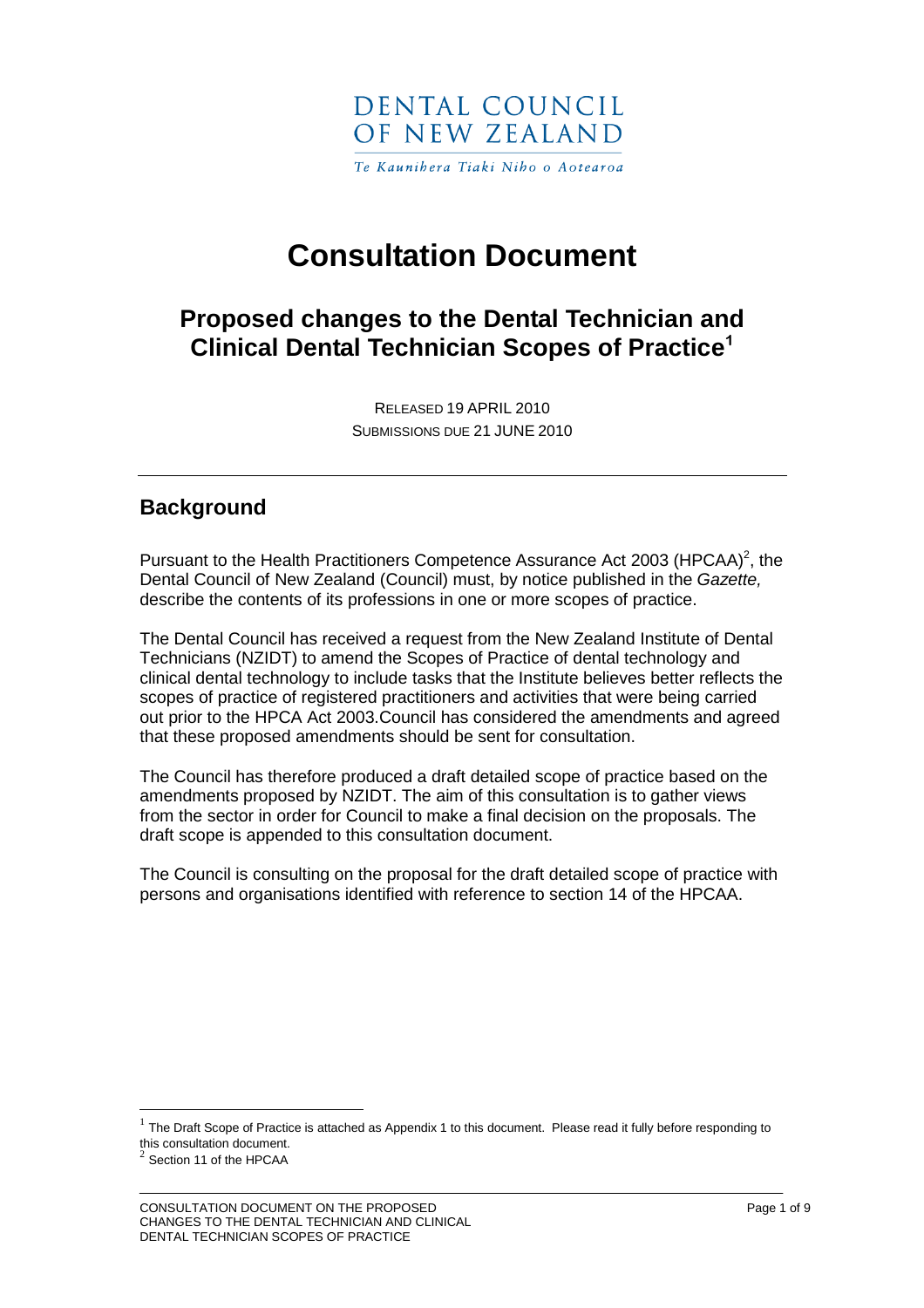

# **Consultation Document**

# **Proposed changes to the Dental Technician and Clinical Dental Technician Scopes of Practice<sup>1</sup>**

RELEASED 19 APRIL 2010 SUBMISSIONS DUE 21 JUNE 2010

## **Background**

Pursuant to the Health Practitioners Competence Assurance Act 2003 (HPCAA)<sup>2</sup>, the Dental Council of New Zealand (Council) must, by notice published in the Gazette, describe the contents of its professions in one or more scopes of practice.

The Dental Council has received a request from the New Zealand Institute of Dental Technicians (NZIDT) to amend the Scopes of Practice of dental technology and clinical dental technology to include tasks that the Institute believes better reflects the scopes of practice of registered practitioners and activities that were being carried out prior to the HPCA Act 2003.Council has considered the amendments and agreed that these proposed amendments should be sent for consultation.

The Council has therefore produced a draft detailed scope of practice based on the amendments proposed by NZIDT. The aim of this consultation is to gather views from the sector in order for Council to make a final decision on the proposals. The draft scope is appended to this consultation document.

The Council is consulting on the proposal for the draft detailed scope of practice with persons and organisations identified with reference to section 14 of the HPCAA.

 $\overline{a}$ 

<sup>1</sup> The Draft Scope of Practice is attached as Appendix 1 to this document. Please read it fully before responding to this consultation document.

 $2$  Section 11 of the HPCAA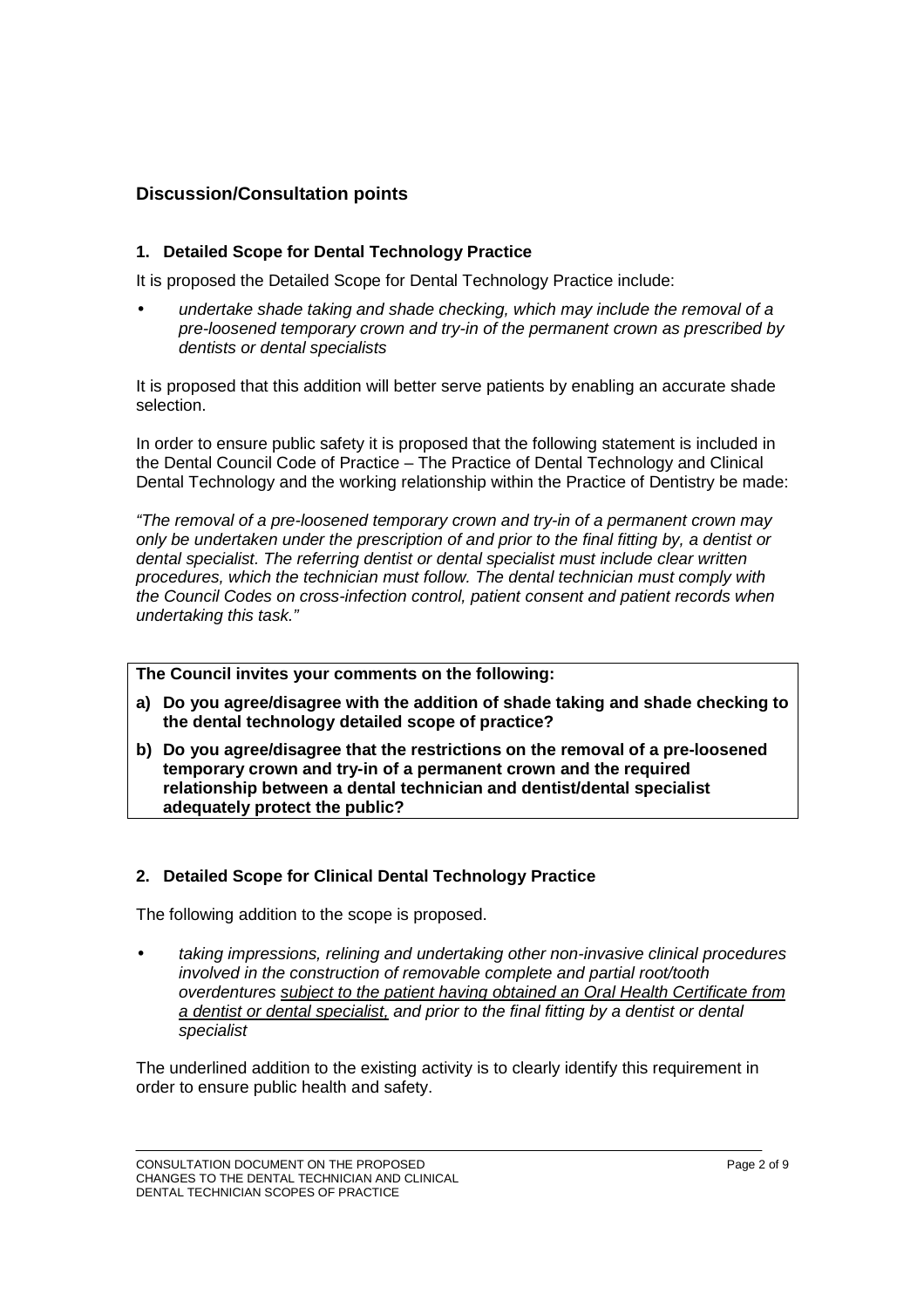#### **Discussion/Consultation points**

#### **1. Detailed Scope for Dental Technology Practice**

It is proposed the Detailed Scope for Dental Technology Practice include:

• undertake shade taking and shade checking, which may include the removal of a pre-loosened temporary crown and try-in of the permanent crown as prescribed by dentists or dental specialists

It is proposed that this addition will better serve patients by enabling an accurate shade selection.

In order to ensure public safety it is proposed that the following statement is included in the Dental Council Code of Practice – The Practice of Dental Technology and Clinical Dental Technology and the working relationship within the Practice of Dentistry be made:

"The removal of a pre-loosened temporary crown and try-in of a permanent crown may only be undertaken under the prescription of and prior to the final fitting by, a dentist or dental specialist. The referring dentist or dental specialist must include clear written procedures, which the technician must follow. The dental technician must comply with the Council Codes on cross-infection control, patient consent and patient records when undertaking this task."

**The Council invites your comments on the following:**

- **a) Do you agree/disagree with the addition of shade taking and shade checking to the dental technology detailed scope of practice?**
- **b) Do you agree/disagree that the restrictions on the removal of a pre-loosened temporary crown and try-in of a permanent crown and the required relationship between a dental technician and dentist/dental specialist adequately protect the public?**

#### **2. Detailed Scope for Clinical Dental Technology Practice**

The following addition to the scope is proposed.

• taking impressions, relining and undertaking other non-invasive clinical procedures involved in the construction of removable complete and partial root/tooth overdentures subject to the patient having obtained an Oral Health Certificate from a dentist or dental specialist, and prior to the final fitting by a dentist or dental specialist

The underlined addition to the existing activity is to clearly identify this requirement in order to ensure public health and safety.

CONSULTATION DOCUMENT ON THE PROPOSED **CONSULTATION DOCUMENT** OF THE PROPOSED CHANGES TO THE DENTAL TECHNICIAN AND CLINICAL DENTAL TECHNICIAN SCOPES OF PRACTICE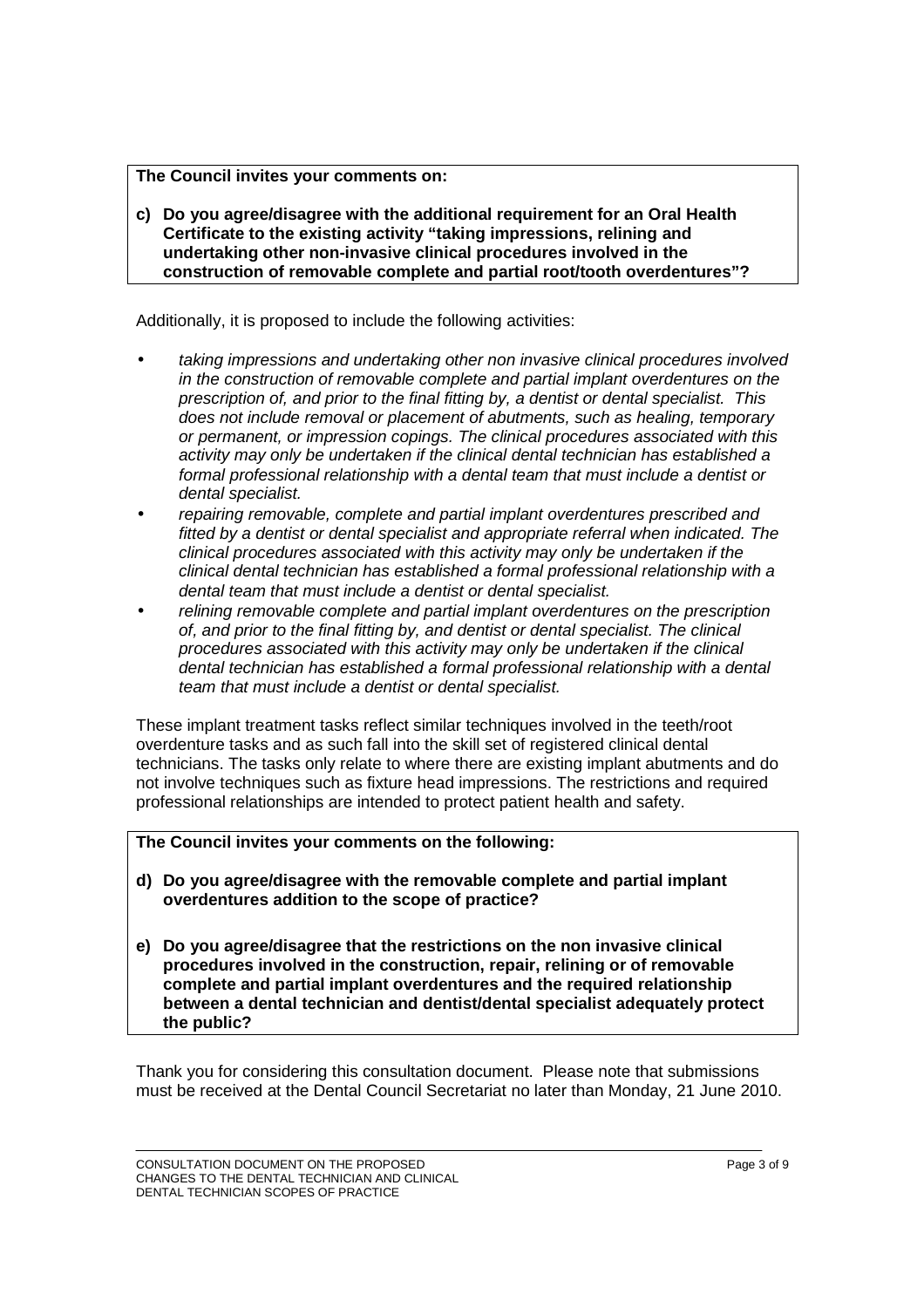#### **The Council invites your comments on:**

**c) Do you agree/disagree with the additional requirement for an Oral Health Certificate to the existing activity "taking impressions, relining and undertaking other non-invasive clinical procedures involved in the construction of removable complete and partial root/tooth overdentures"?** 

Additionally, it is proposed to include the following activities:

- taking impressions and undertaking other non invasive clinical procedures involved in the construction of removable complete and partial implant overdentures on the prescription of, and prior to the final fitting by, a dentist or dental specialist. This does not include removal or placement of abutments, such as healing, temporary or permanent, or impression copings. The clinical procedures associated with this activity may only be undertaken if the clinical dental technician has established a formal professional relationship with a dental team that must include a dentist or dental specialist.
- repairing removable, complete and partial implant overdentures prescribed and fitted by a dentist or dental specialist and appropriate referral when indicated. The clinical procedures associated with this activity may only be undertaken if the clinical dental technician has established a formal professional relationship with a dental team that must include a dentist or dental specialist.
- relining removable complete and partial implant overdentures on the prescription of, and prior to the final fitting by, and dentist or dental specialist. The clinical procedures associated with this activity may only be undertaken if the clinical dental technician has established a formal professional relationship with a dental team that must include a dentist or dental specialist.

These implant treatment tasks reflect similar techniques involved in the teeth/root overdenture tasks and as such fall into the skill set of registered clinical dental technicians. The tasks only relate to where there are existing implant abutments and do not involve techniques such as fixture head impressions. The restrictions and required professional relationships are intended to protect patient health and safety.

**The Council invites your comments on the following:**

- **d) Do you agree/disagree with the removable complete and partial implant overdentures addition to the scope of practice?**
- **e) Do you agree/disagree that the restrictions on the non invasive clinical procedures involved in the construction, repair, relining or of removable complete and partial implant overdentures and the required relationship between a dental technician and dentist/dental specialist adequately protect the public?**

Thank you for considering this consultation document. Please note that submissions must be received at the Dental Council Secretariat no later than Monday, 21 June 2010.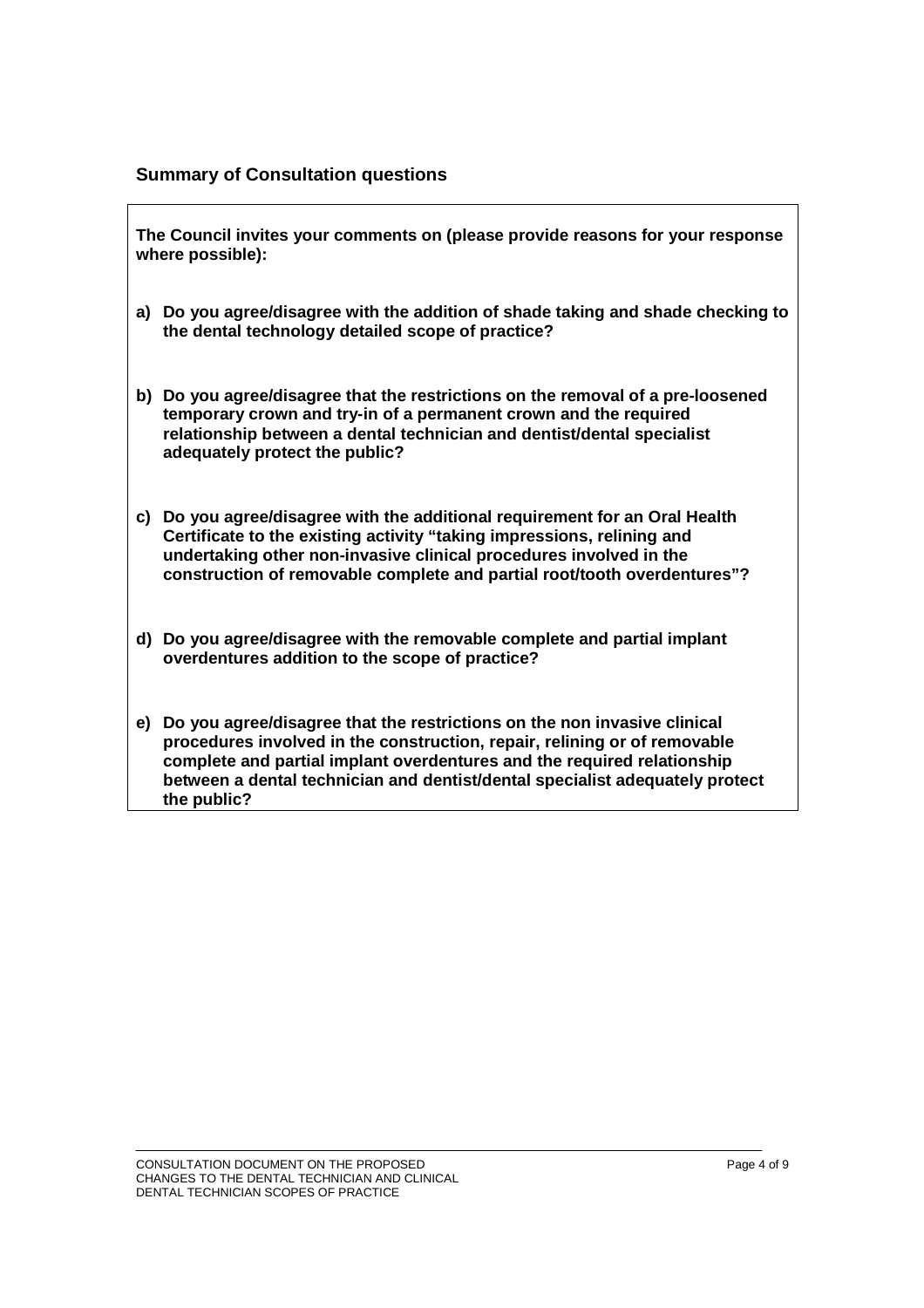#### **Summary of Consultation questions**

**The Council invites your comments on (please provide reasons for your response where possible):** 

- **a) Do you agree/disagree with the addition of shade taking and shade checking to the dental technology detailed scope of practice?**
- **b) Do you agree/disagree that the restrictions on the removal of a pre-loosened temporary crown and try-in of a permanent crown and the required relationship between a dental technician and dentist/dental specialist adequately protect the public?**
- **c) Do you agree/disagree with the additional requirement for an Oral Health Certificate to the existing activity "taking impressions, relining and undertaking other non-invasive clinical procedures involved in the construction of removable complete and partial root/tooth overdentures"?**
- **d) Do you agree/disagree with the removable complete and partial implant overdentures addition to the scope of practice?**
- **e) Do you agree/disagree that the restrictions on the non invasive clinical procedures involved in the construction, repair, relining or of removable complete and partial implant overdentures and the required relationship between a dental technician and dentist/dental specialist adequately protect the public?**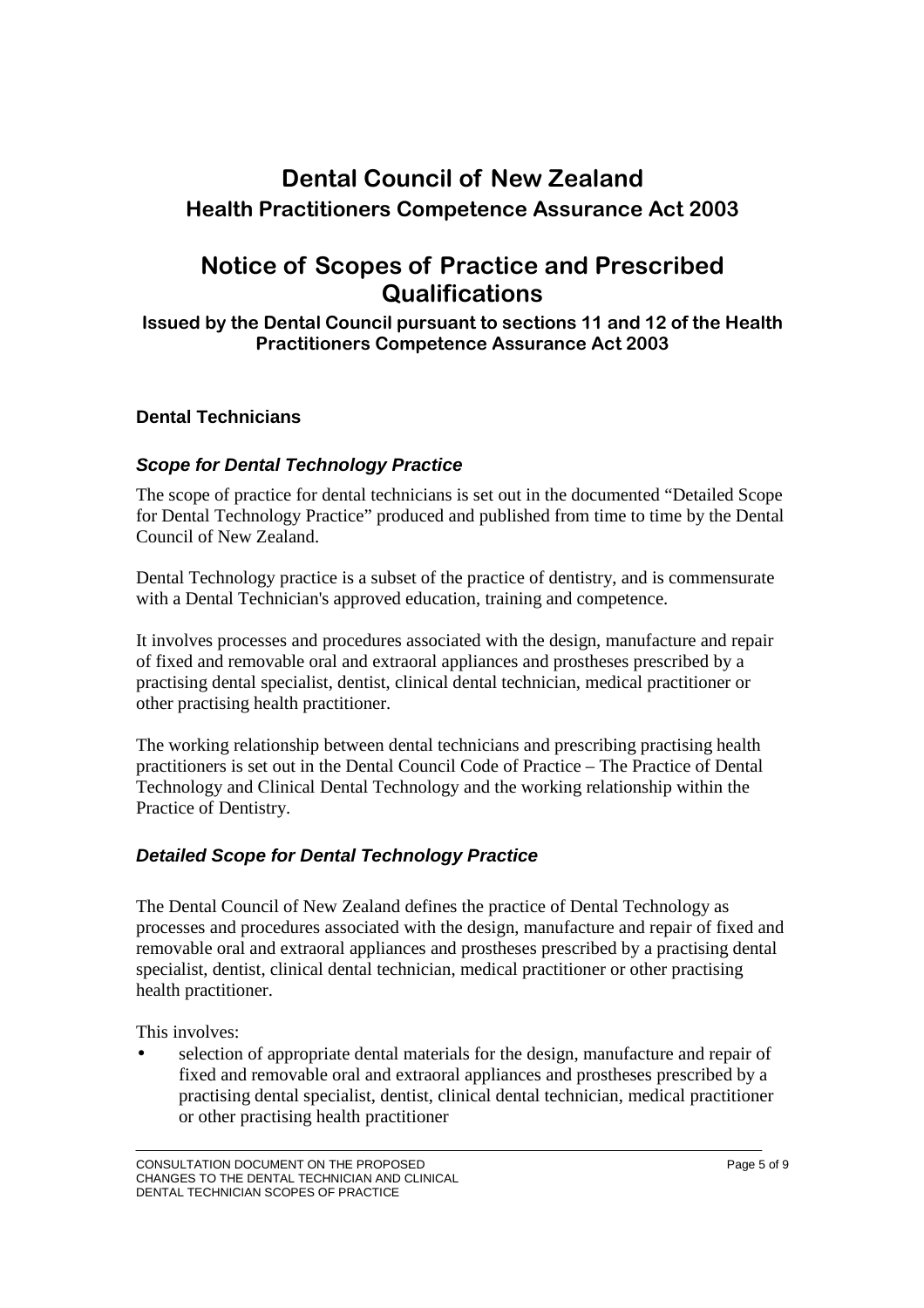# **Dental Council of New Zealand Health Practitioners Competence Assurance Act 2003**

# **Notice of Scopes of Practice and Prescribed Qualifications**

**Issued by the Dental Council pursuant to sections 11 and 12 of the Health Practitioners Competence Assurance Act 2003** 

#### **Dental Technicians**

#### **Scope for Dental Technology Practice**

The scope of practice for dental technicians is set out in the documented "Detailed Scope for Dental Technology Practice" produced and published from time to time by the Dental Council of New Zealand.

Dental Technology practice is a subset of the practice of dentistry, and is commensurate with a Dental Technician's approved education, training and competence.

It involves processes and procedures associated with the design, manufacture and repair of fixed and removable oral and extraoral appliances and prostheses prescribed by a practising dental specialist, dentist, clinical dental technician, medical practitioner or other practising health practitioner.

The working relationship between dental technicians and prescribing practising health practitioners is set out in the Dental Council Code of Practice – The Practice of Dental Technology and Clinical Dental Technology and the working relationship within the Practice of Dentistry.

#### **Detailed Scope for Dental Technology Practice**

The Dental Council of New Zealand defines the practice of Dental Technology as processes and procedures associated with the design, manufacture and repair of fixed and removable oral and extraoral appliances and prostheses prescribed by a practising dental specialist, dentist, clinical dental technician, medical practitioner or other practising health practitioner.

This involves:

• selection of appropriate dental materials for the design, manufacture and repair of fixed and removable oral and extraoral appliances and prostheses prescribed by a practising dental specialist, dentist, clinical dental technician, medical practitioner or other practising health practitioner

CONSULTATION DOCUMENT ON THE PROPOSED **CONSULTATION DOCUMENT** OF THE PROPOSED CHANGES TO THE DENTAL TECHNICIAN AND CLINICAL DENTAL TECHNICIAN SCOPES OF PRACTICE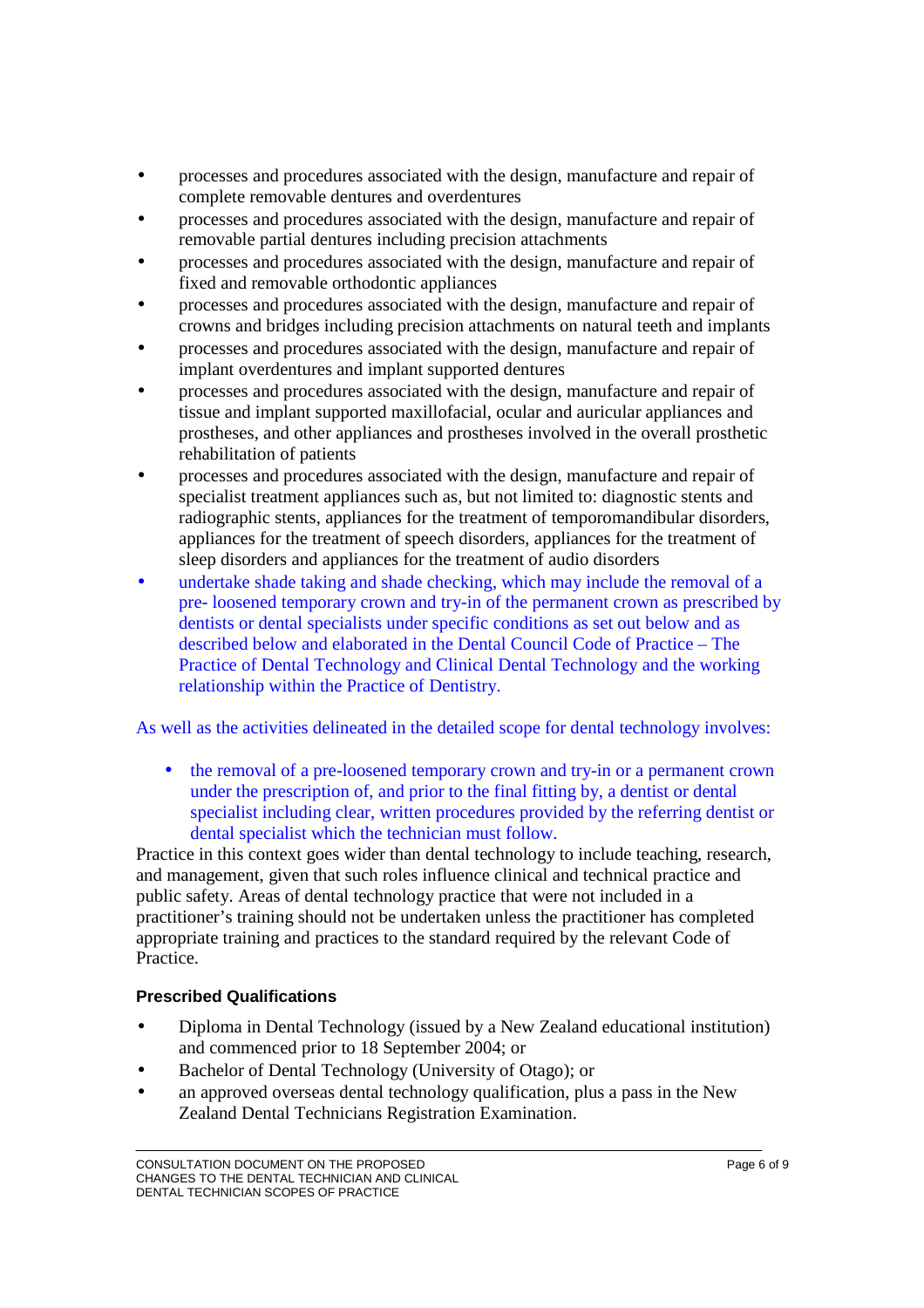- processes and procedures associated with the design, manufacture and repair of complete removable dentures and overdentures
- processes and procedures associated with the design, manufacture and repair of removable partial dentures including precision attachments
- processes and procedures associated with the design, manufacture and repair of fixed and removable orthodontic appliances
- processes and procedures associated with the design, manufacture and repair of crowns and bridges including precision attachments on natural teeth and implants
- processes and procedures associated with the design, manufacture and repair of implant overdentures and implant supported dentures
- processes and procedures associated with the design, manufacture and repair of tissue and implant supported maxillofacial, ocular and auricular appliances and prostheses, and other appliances and prostheses involved in the overall prosthetic rehabilitation of patients
- processes and procedures associated with the design, manufacture and repair of specialist treatment appliances such as, but not limited to: diagnostic stents and radiographic stents, appliances for the treatment of temporomandibular disorders, appliances for the treatment of speech disorders, appliances for the treatment of sleep disorders and appliances for the treatment of audio disorders
- undertake shade taking and shade checking, which may include the removal of a pre- loosened temporary crown and try-in of the permanent crown as prescribed by dentists or dental specialists under specific conditions as set out below and as described below and elaborated in the Dental Council Code of Practice – The Practice of Dental Technology and Clinical Dental Technology and the working relationship within the Practice of Dentistry.

As well as the activities delineated in the detailed scope for dental technology involves:

• the removal of a pre-loosened temporary crown and try-in or a permanent crown under the prescription of, and prior to the final fitting by, a dentist or dental specialist including clear, written procedures provided by the referring dentist or dental specialist which the technician must follow.

Practice in this context goes wider than dental technology to include teaching, research, and management, given that such roles influence clinical and technical practice and public safety. Areas of dental technology practice that were not included in a practitioner's training should not be undertaken unless the practitioner has completed appropriate training and practices to the standard required by the relevant Code of Practice.

#### **Prescribed Qualifications**

- Diploma in Dental Technology (issued by a New Zealand educational institution) and commenced prior to 18 September 2004; or
- Bachelor of Dental Technology (University of Otago); or
- an approved overseas dental technology qualification, plus a pass in the New Zealand Dental Technicians Registration Examination.

CONSULTATION DOCUMENT ON THE PROPOSED **CONSULTATION DOCUMENT** ON THE PROPOSED CHANGES TO THE DENTAL TECHNICIAN AND CLINICAL DENTAL TECHNICIAN SCOPES OF PRACTICE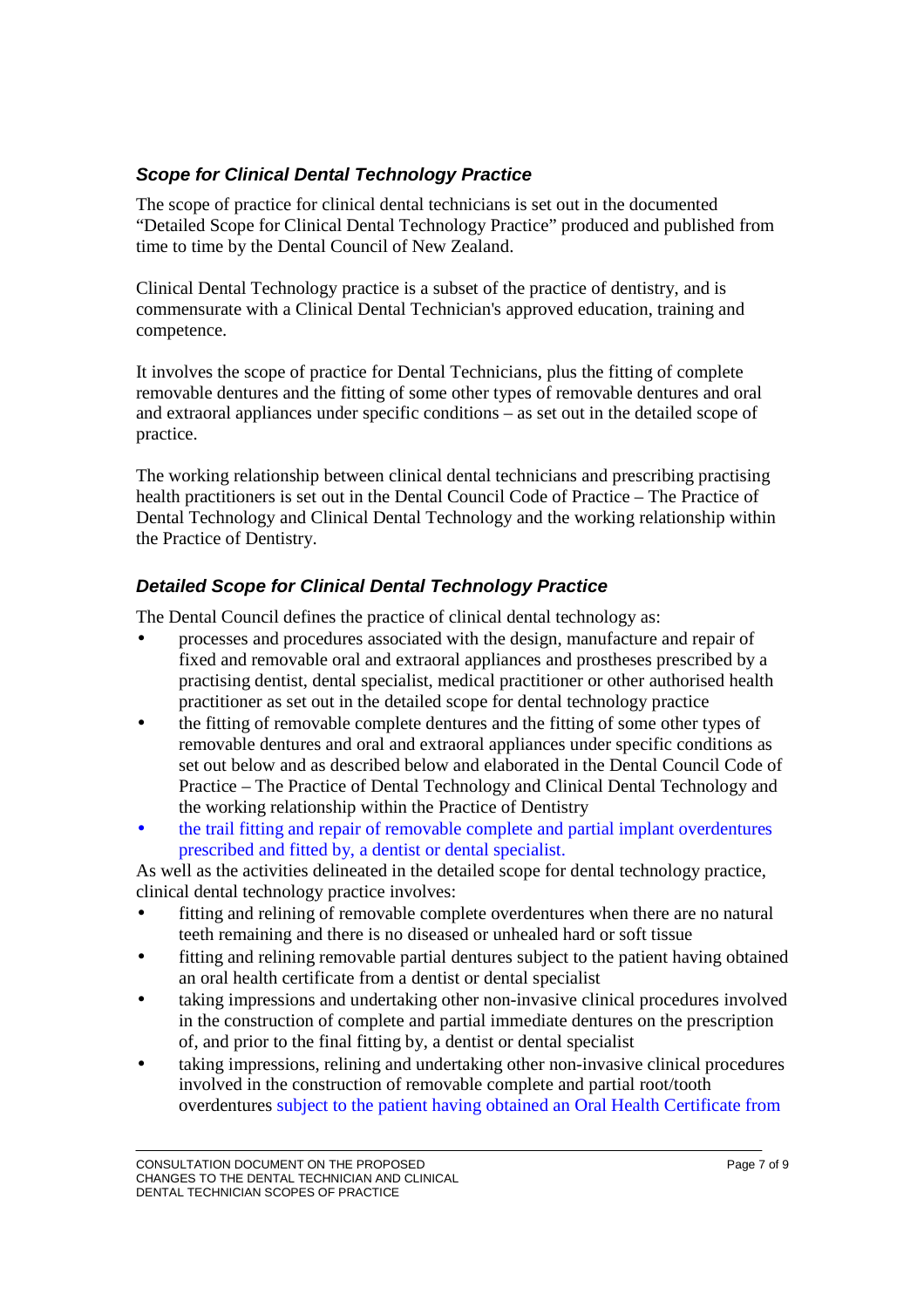### **Scope for Clinical Dental Technology Practice**

The scope of practice for clinical dental technicians is set out in the documented "Detailed Scope for Clinical Dental Technology Practice" produced and published from time to time by the Dental Council of New Zealand.

Clinical Dental Technology practice is a subset of the practice of dentistry, and is commensurate with a Clinical Dental Technician's approved education, training and competence.

It involves the scope of practice for Dental Technicians, plus the fitting of complete removable dentures and the fitting of some other types of removable dentures and oral and extraoral appliances under specific conditions – as set out in the detailed scope of practice.

The working relationship between clinical dental technicians and prescribing practising health practitioners is set out in the Dental Council Code of Practice – The Practice of Dental Technology and Clinical Dental Technology and the working relationship within the Practice of Dentistry.

### **Detailed Scope for Clinical Dental Technology Practice**

The Dental Council defines the practice of clinical dental technology as:

- processes and procedures associated with the design, manufacture and repair of fixed and removable oral and extraoral appliances and prostheses prescribed by a practising dentist, dental specialist, medical practitioner or other authorised health practitioner as set out in the detailed scope for dental technology practice
- the fitting of removable complete dentures and the fitting of some other types of removable dentures and oral and extraoral appliances under specific conditions as set out below and as described below and elaborated in the Dental Council Code of Practice – The Practice of Dental Technology and Clinical Dental Technology and the working relationship within the Practice of Dentistry
- the trail fitting and repair of removable complete and partial implant overdentures prescribed and fitted by, a dentist or dental specialist.

As well as the activities delineated in the detailed scope for dental technology practice, clinical dental technology practice involves:

- fitting and relining of removable complete overdentures when there are no natural teeth remaining and there is no diseased or unhealed hard or soft tissue
- fitting and relining removable partial dentures subject to the patient having obtained an oral health certificate from a dentist or dental specialist
- taking impressions and undertaking other non-invasive clinical procedures involved in the construction of complete and partial immediate dentures on the prescription of, and prior to the final fitting by, a dentist or dental specialist
- taking impressions, relining and undertaking other non-invasive clinical procedures involved in the construction of removable complete and partial root/tooth overdentures subject to the patient having obtained an Oral Health Certificate from

CONSULTATION DOCUMENT ON THE PROPOSED **Example 2 of 9** Page 7 of 9 CHANGES TO THE DENTAL TECHNICIAN AND CLINICAL DENTAL TECHNICIAN SCOPES OF PRACTICE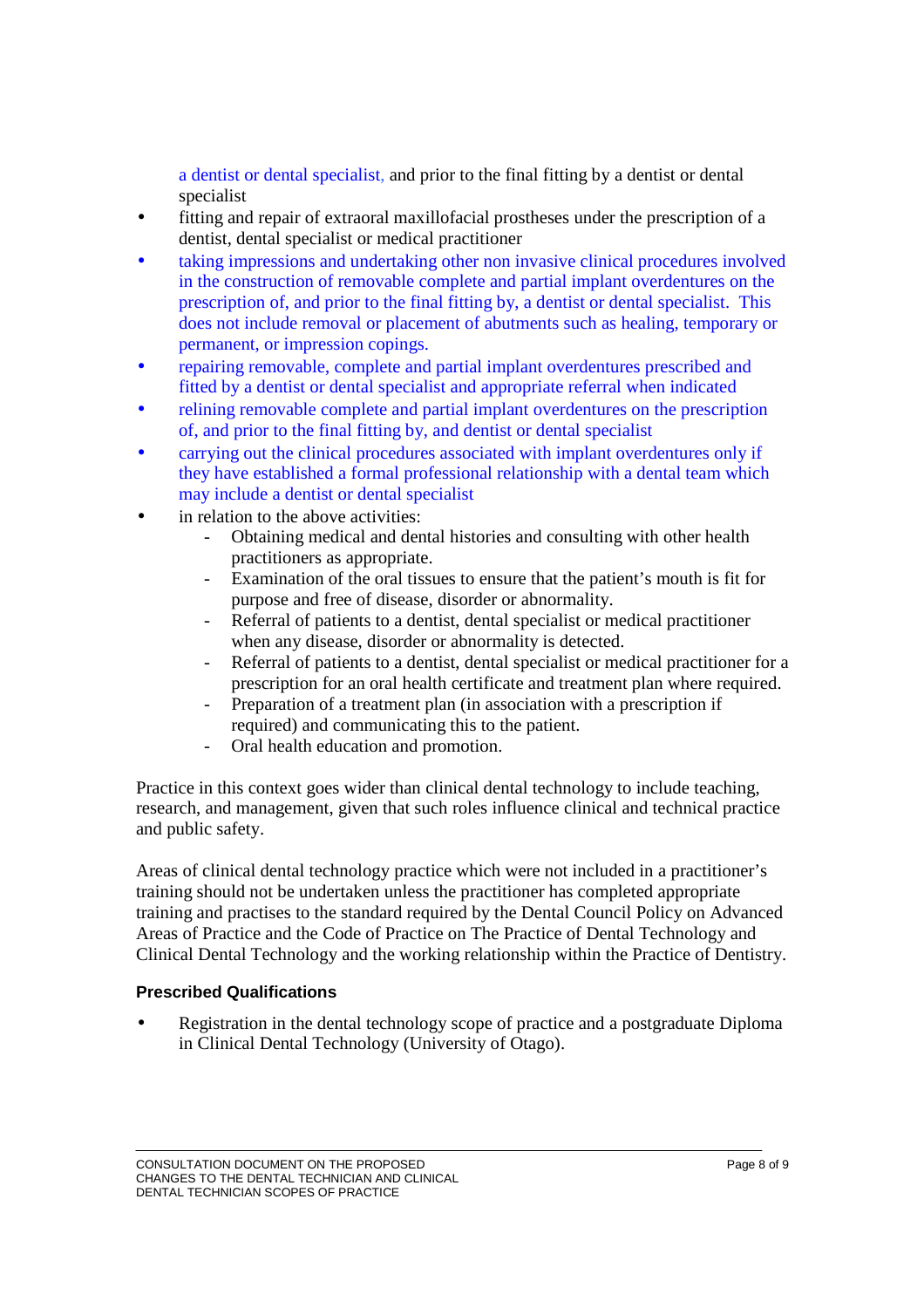a dentist or dental specialist, and prior to the final fitting by a dentist or dental specialist

- fitting and repair of extraoral maxillofacial prostheses under the prescription of a dentist, dental specialist or medical practitioner
- taking impressions and undertaking other non invasive clinical procedures involved in the construction of removable complete and partial implant overdentures on the prescription of, and prior to the final fitting by, a dentist or dental specialist. This does not include removal or placement of abutments such as healing, temporary or permanent, or impression copings.
- repairing removable, complete and partial implant overdentures prescribed and fitted by a dentist or dental specialist and appropriate referral when indicated
- relining removable complete and partial implant overdentures on the prescription of, and prior to the final fitting by, and dentist or dental specialist
- carrying out the clinical procedures associated with implant overdentures only if they have established a formal professional relationship with a dental team which may include a dentist or dental specialist
- in relation to the above activities:
	- Obtaining medical and dental histories and consulting with other health practitioners as appropriate.
	- Examination of the oral tissues to ensure that the patient's mouth is fit for purpose and free of disease, disorder or abnormality.
	- Referral of patients to a dentist, dental specialist or medical practitioner when any disease, disorder or abnormality is detected.
	- Referral of patients to a dentist, dental specialist or medical practitioner for a prescription for an oral health certificate and treatment plan where required.
	- Preparation of a treatment plan (in association with a prescription if required) and communicating this to the patient.
	- Oral health education and promotion.

Practice in this context goes wider than clinical dental technology to include teaching, research, and management, given that such roles influence clinical and technical practice and public safety.

Areas of clinical dental technology practice which were not included in a practitioner's training should not be undertaken unless the practitioner has completed appropriate training and practises to the standard required by the Dental Council Policy on Advanced Areas of Practice and the Code of Practice on The Practice of Dental Technology and Clinical Dental Technology and the working relationship within the Practice of Dentistry.

#### **Prescribed Qualifications**

• Registration in the dental technology scope of practice and a postgraduate Diploma in Clinical Dental Technology (University of Otago).